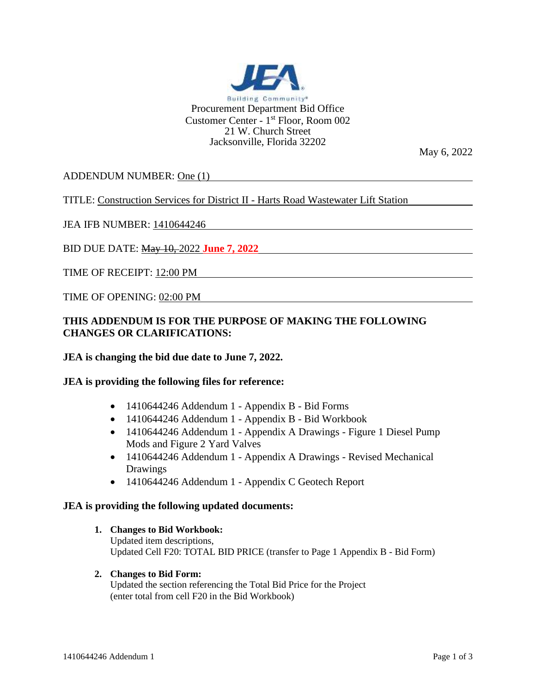

May 6, 2022

ADDENDUM NUMBER: One (1)

TITLE: Construction Services for District II - Harts Road Wastewater Lift Station

JEA IFB NUMBER: 1410644246

BID DUE DATE: May 10, 2022 **June 7, 2022**

TIME OF RECEIPT: 12:00 PM

TIME OF OPENING: 02:00 PM

# **THIS ADDENDUM IS FOR THE PURPOSE OF MAKING THE FOLLOWING CHANGES OR CLARIFICATIONS:**

## **JEA is changing the bid due date to June 7, 2022.**

#### **JEA is providing the following files for reference:**

- 1410644246 Addendum 1 Appendix B Bid Forms
- 1410644246 Addendum 1 Appendix B Bid Workbook
- 1410644246 Addendum 1 Appendix A Drawings Figure 1 Diesel Pump Mods and Figure 2 Yard Valves
- 1410644246 Addendum 1 Appendix A Drawings Revised Mechanical Drawings
- 1410644246 Addendum 1 Appendix C Geotech Report

#### **JEA is providing the following updated documents:**

- **1. Changes to Bid Workbook:** Updated item descriptions, Updated Cell F20: TOTAL BID PRICE (transfer to Page 1 Appendix B - Bid Form)
- **2. Changes to Bid Form:** Updated the section referencing the Total Bid Price for the Project (enter total from cell F20 in the Bid Workbook)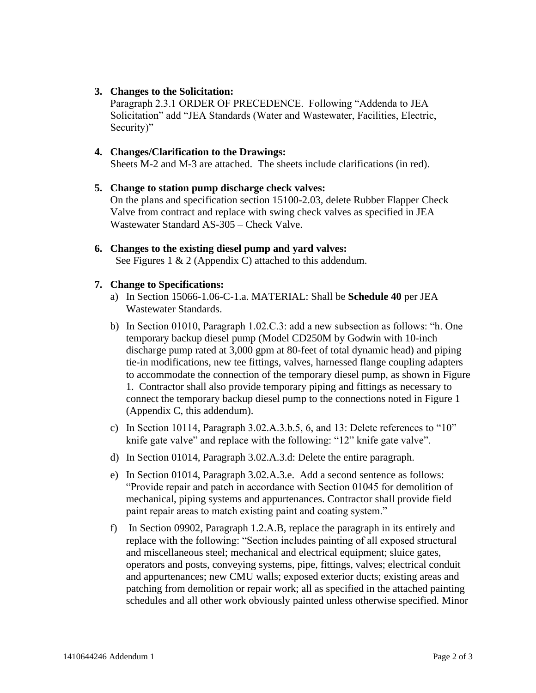# **3. Changes to the Solicitation:**

Paragraph 2.3.1 ORDER OF PRECEDENCE. Following "Addenda to JEA Solicitation" add "JEA Standards (Water and Wastewater, Facilities, Electric, Security)"

# **4. Changes/Clarification to the Drawings:**

Sheets M-2 and M-3 are attached. The sheets include clarifications (in red).

## **5. Change to station pump discharge check valves:**

On the plans and specification section 15100-2.03, delete Rubber Flapper Check Valve from contract and replace with swing check valves as specified in JEA Wastewater Standard AS-305 – Check Valve.

**6. Changes to the existing diesel pump and yard valves:** See Figures 1 & 2 (Appendix C) attached to this addendum.

## **7. Change to Specifications:**

- a) In Section 15066-1.06-C-1.a. MATERIAL: Shall be **Schedule 40** per JEA Wastewater Standards.
- b) In Section 01010, Paragraph 1.02.C.3: add a new subsection as follows: "h. One temporary backup diesel pump (Model CD250M by Godwin with 10-inch discharge pump rated at 3,000 gpm at 80-feet of total dynamic head) and piping tie-in modifications, new tee fittings, valves, harnessed flange coupling adapters to accommodate the connection of the temporary diesel pump, as shown in Figure 1. Contractor shall also provide temporary piping and fittings as necessary to connect the temporary backup diesel pump to the connections noted in Figure 1 (Appendix C, this addendum).
- c) In Section 10114, Paragraph 3.02.A.3.b.5, 6, and 13: Delete references to "10" knife gate valve" and replace with the following: "12" knife gate valve".
- d) In Section 01014, Paragraph 3.02.A.3.d: Delete the entire paragraph.
- e) In Section 01014, Paragraph 3.02.A.3.e. Add a second sentence as follows: "Provide repair and patch in accordance with Section 01045 for demolition of mechanical, piping systems and appurtenances. Contractor shall provide field paint repair areas to match existing paint and coating system."
- f) In Section 09902, Paragraph 1.2.A.B, replace the paragraph in its entirely and replace with the following: "Section includes painting of all exposed structural and miscellaneous steel; mechanical and electrical equipment; sluice gates, operators and posts, conveying systems, pipe, fittings, valves; electrical conduit and appurtenances; new CMU walls; exposed exterior ducts; existing areas and patching from demolition or repair work; all as specified in the attached painting schedules and all other work obviously painted unless otherwise specified. Minor